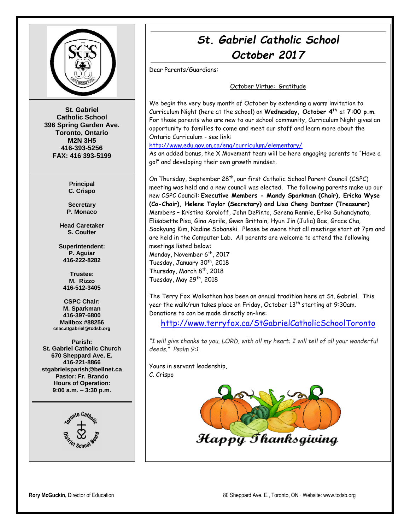

**St. Gabriel Catholic School 396 Spring Garden Ave. Toronto, Ontario M2N 3H5 416-393-5256 FAX: 416 393-5199**

> **Principal C. Crispo**

**Secretary P. Monaco**

**Head Caretaker S. Coulter**

**Superintendent: P. Aguiar 416-222-8282**

**Trustee: M. Rizzo 416-512-3405**

**CSPC Chair: M. Sparkman 416-397-6800 Mailbox #88256 csac.stgabriel@tcdsb.org**

**Parish: St. Gabriel Catholic Church 670 Sheppard Ave. E. 416-221-8866 stgabrielsparish@bellnet.ca Pastor: Fr. Brando Hours of Operation: 9:00 a.m. – 3:30 p.m.**



# *St. Gabriel Catholic School October 2017*

Dear Parents/Guardians:

October Virtue: Gratitude

We begin the very busy month of October by extending a warm invitation to Curriculum Night (here at the school) on **Wednesday, October 4th** at **7:00 p.m**. For those parents who are new to our school community, Curriculum Night gives an opportunity to families to come and meet our staff and learn more about the Ontario Curriculum - see link:

<http://www.edu.gov.on.ca/eng/curriculum/elementary/>

As an added bonus, the X Movement team will be here engaging parents to "Have a go!" and developing their own growth mindset.

On Thursday, September 28<sup>th</sup>, our first Catholic School Parent Council (CSPC) meeting was held and a new council was elected. The following parents make up our new CSPC Council: **Executive Members - Mandy Sparkman (Chair), Ericka Wyse (Co-Chair), Helene Taylor (Secretary) and Lisa Cheng Dantzer (Treasurer)** Members – Kristina Koroloff, John DePinto, Serena Rennie, Erika Suhandynata, Elisabette Pisa, Gina Aprile, Gwen Brittain, Hyun Jin (Julia) Bae, Grace Cha, Sookyung Kim, Nadine Sobanski. Please be aware that all meetings start at 7pm and are held in the Computer Lab. All parents are welcome to attend the following meetings listed below: Monday, November 6<sup>th</sup>, 2017 Tuesday, January 30<sup>th</sup>, 2018

Thursday, March 8<sup>th</sup>, 2018 Tuesday, May 29<sup>th</sup>, 2018

The Terry Fox Walkathon has been an annual tradition here at St. Gabriel. This year the walk/run takes place on Friday, October 13<sup>th</sup> starting at 9:30am. Donations to can be made directly on-line:

<http://www.terryfox.ca/StGabrielCatholicSchoolToronto>

*"I will give thanks to you, LORD, with all my heart; I will tell of all your wonderful deeds." Psalm 9:1* 

Yours in servant leadership, C. Crispo

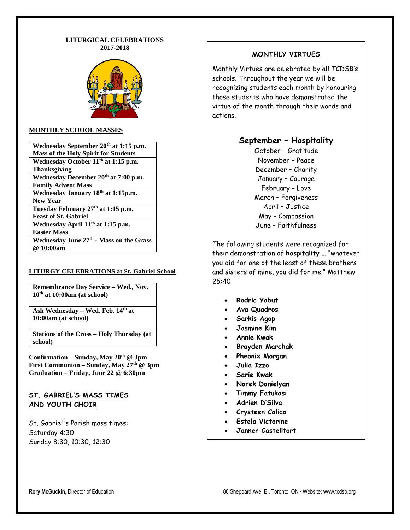#### **LITURGICAL CELEBRATIONS 2017-2018**



### **MONTHLY SCHOOL MASSES**

**Wednesday September 20th at 1:15 p.m. Mass of the Holy Spirit for Students Wednesday October 11th at 1:15 p.m. Thanksgiving Wednesday December 20th at 7:00 p.m. Family Advent Mass Wednesday January 18th at 1:15p.m. New Year Tuesday February 27th at 1:15 p.m. Feast of St. Gabriel Wednesday April 11th at 1:15 p.m. Easter Mass Wednesday June 27th - Mass on the Grass @ 10:00am**

### **LITURGY CELEBRATIONS at St. Gabriel School**

**Remembrance Day Service – Wed., Nov. 10th at 10:00am (at school)**

**Ash Wednesday – Wed. Feb. 14th at 10:00am (at school)**

**Stations of the Cross – Holy Thursday (at school)** 

**Confirmation – Sunday, May 20th @ 3pm First Communion – Sunday, May 27th @ 3pm Graduation – Friday, June 22 @ 6:30pm** 

## **ST. GABRIEL'S MASS TIMES AND YOUTH CHOIR**

St. Gabriel's Parish mass times: Saturday 4:30 Sunday 8:30, 10:30, 12:30

## **MONTHLY VIRTUES**

Monthly Virtues are celebrated by all TCDSB's schools. Throughout the year we will be recognizing students each month by honouring those students who have demonstrated the virtue of the month through their words and actions.

# **September – Hospitality**

October – Gratitude November – Peace December – Charity January – Courage February – Love March – Forgiveness April – Justice May – Compassion June – Faithfulness

The following students were recognized for their demonstration of **hospitality** … "whatever you did for one of the least of these brothers and sisters of mine, you did for me." Matthew 25:40

- **Rodric Yabut**
- **Ava Quadros**
- **Sarkis Agop**
- **Jasmine Kim**
- **Annie Kwak**
- **Brayden Marchak**
- **Pheonix Morgan**
- **Julia Izzo**
- **Sarie Kwak**
- **Narek Danielyan**
- **Timmy Fatukasi**
- **Adrien D'Silva**
- **Crysteen Calica**
- **Estela Victorine**
- **Janner Castelltort**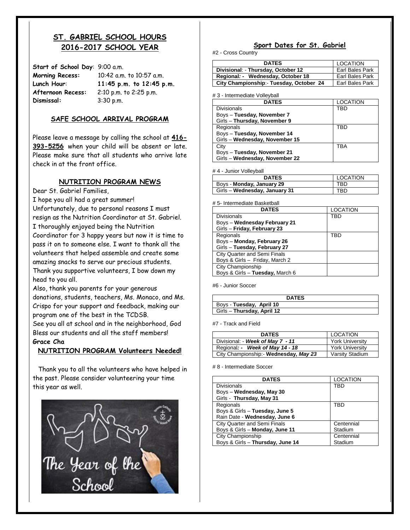# **ST. GABRIEL SCHOOL HOURS 2016-2017 SCHOOL YEAR**

**Start of School Day**: 9:00 a.m. **Morning Recess:** 10:42 a.m. to 10:57 a.m. **Lunch Hour**: **11:45 p.m. to 12:45 p.m. Afternoon Recess:** 2:10 p.m. to 2:25 p.m. **Dismissal:** 3:30 p.m.

### **SAFE SCHOOL ARRIVAL PROGRAM**

Please leave a message by calling the school at **416- 393-5256** when your child will be absent or late. Please make sure that all students who arrive late check in at the front office.

## **NUTRITION PROGRAM NEWS**

Dear St. Gabriel Families,

I hope you all had a great summer! Unfortunately, due to personal reasons I must resign as the Nutrition Coordinator at St. Gabriel. I thoroughly enjoyed being the Nutrition Coordinator for 3 happy years but now it is time to pass it on to someone else. I want to thank all the volunteers that helped assemble and create some amazing snacks to serve our precious students. Thank you supportive volunteers, I bow down my head to you all.

Also, thank you parents for your generous donations, students, teachers, Ms. Monaco, and Ms. Crispo for your support and feedback, making our program one of the best in the TCDSB.

See you all at school and in the neighborhood, God Bless our students and all the staff members! **Grace Cha** 

# **NUTRITION PROGRAM Volunteers Needed!**

Thank you to all the volunteers who have helped in the past. Please consider volunteering your time this year as well.



### **Sport Dates for St. Gabriel**

#2 - Cross Country

| <b>DATES</b>                           | LOCATION        |
|----------------------------------------|-----------------|
| Divisional: - Thursday, October 12     | Earl Bales Park |
| Regional: - Wednesday, October 18      | Earl Bales Park |
| City Championship: Tuesday, October 24 | Earl Bales Park |

# 3 - Intermediate Volleyball

| <b>DATES</b>                   | <b>LOCATION</b> |
|--------------------------------|-----------------|
| <b>Divisionals</b>             | TBD             |
| Boys - Tuesday, November 7     |                 |
| Girls - Thursday, November 9   |                 |
| Regionals                      | TBD             |
| Boys - Tuesday, November 14    |                 |
| Girls - Wednesday, November 15 |                 |
| City                           | TBA             |
| Boys - Tuesday, November 21    |                 |
| Girls - Wednesday, November 22 |                 |

# 4 - Junior Volleyball

| <b>DATES</b>                  | LOCATION |
|-------------------------------|----------|
| Boys - Monday, January 29     | TBD      |
| Girls - Wednesday, January 31 | TBD      |

# 5- Intermediate Basketball

| <b>DATES</b>                        | <b>LOCATION</b> |
|-------------------------------------|-----------------|
| <b>Divisionals</b>                  | <b>TBD</b>      |
| Boys - Wednesday February 21        |                 |
| Girls - Friday, February 23         |                 |
| Regionals                           | TBD             |
| Boys - Monday, February 26          |                 |
| Girls - Tuesday, February 27        |                 |
| <b>City Quarter and Semi Finals</b> |                 |
| Boys & Girls - Friday, March 2      |                 |
| City Championship                   |                 |
| Boys & Girls - Tuesday, March 6     |                 |

#6 - Junior Soccer

|                            | <b>DATES</b> |
|----------------------------|--------------|
| Boys - Tuesday, April 10   |              |
| Girls - Thursday, April 12 |              |

#7 - Track and Field

| <b>DATES</b>                           | LOCATION               |
|----------------------------------------|------------------------|
| Divisional: - Week of May 7 - 11       | <b>York University</b> |
| Regional: - Week of May 14 - 18        | <b>York University</b> |
| City Championship: - Wednesday, May 23 | Varsity Stadium        |

# 8 - Intermediate Soccer

| <b>DATES</b>                        | <b>LOCATION</b> |
|-------------------------------------|-----------------|
| <b>Divisionals</b>                  | TBD             |
| Boys - Wednesday, May 30            |                 |
| Girls - Thursday, May 31            |                 |
| Regionals                           | TBD             |
| Boys & Girls - Tuesday, June 5      |                 |
| Rain Date - Wednesday, June 6       |                 |
| <b>City Quarter and Semi Finals</b> | Centennial      |
| Boys & Girls - Monday, June 11      | Stadium         |
| City Championship                   | Centennial      |
| Boys & Girls - Thursday, June 14    | Stadium         |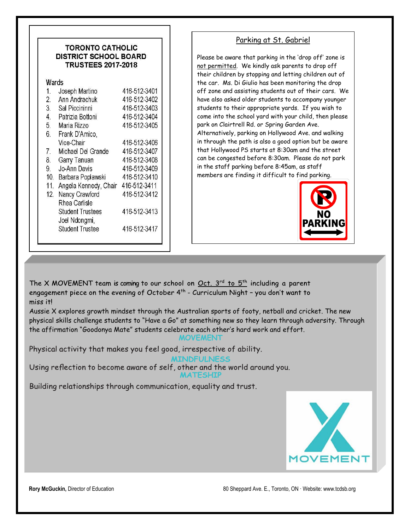| <b>TORONTO CATHOLIC</b><br>DISTRICT SCHOOL BOARD<br><b>TRUSTEES 2017-2018</b> |                                          |              |
|-------------------------------------------------------------------------------|------------------------------------------|--------------|
| Wards                                                                         |                                          |              |
| $1_{\cdot}$                                                                   | Joseph Martino                           | 416-512-3401 |
| 2.                                                                            | Ann Andrachuk                            | 416-512-3402 |
|                                                                               | 3. Sal Piccininni                        | 416-512-3403 |
|                                                                               | 4. Patrizia Bottoni                      | 416-512-3404 |
| 5 <sub>1</sub>                                                                | Maria Rizzo                              | 416-512-3405 |
| 6.                                                                            | Frank D'Amico,                           |              |
|                                                                               | Vice-Chair                               | 416-512-3406 |
| 7.                                                                            | Michael Del Grande                       | 416-512-3407 |
| 8.                                                                            | Garry Tanuan                             | 416-512-3408 |
| 9.                                                                            | Jo-Ann Davis                             | 416-512-3409 |
| 10 <sub>1</sub>                                                               | Barbara Poplawski                        | 416-512-3410 |
| 11.                                                                           | Angela Kennedy, Chair                    | 416-512-3411 |
| 12.                                                                           | Nancy Crawford<br>Rhea Carlisle          | 416-512-3412 |
|                                                                               | <b>Student Trustees</b><br>Joel Ndongmi, | 416-512-3413 |
|                                                                               | <b>Student Trustee</b>                   | 416-512-3417 |

# Parking at St. Gabriel

Please be aware that parking in the 'drop off' zone is not permitted. We kindly ask parents to drop off their children by stopping and letting children out of the car. Ms. Di Giulio has been monitoring the drop off zone and assisting students out of their cars. We have also asked older students to accompany younger students to their appropriate yards. If you wish to come into the school yard with your child, then please park on Clairtrell Rd. or Spring Garden Ave. Alternatively, parking on Hollywood Ave. and walking in through the path is also a good option but be aware that Hollywood PS starts at 8:30am and the street can be congested before 8:30am. Please do not park in the staff parking before 8:45am, as staff members are finding it difficult to find parking.



The X MOVEMENT team is coming to our school on Oct.  $3^{rd}$  to  $5^{th}$  including a parent engagement piece on the evening of October  $4<sup>th</sup>$  - Curriculum Night - you don't want to miss it!

Aussie X explores growth mindset through the Australian sports of footy, netball and cricket. The new physical skills challenge students to "Have a Go" at something new so they learn through adversity. Through the affirmation "Goodonya Mate" students celebrate each other's hard work and effort. **MOVEMENT**

Physical activity that makes you feel good, irrespective of ability.

**MINDFULNESS** 

Using reflection to become aware of self, other and the world around you. **MATESHIP** 

Building relationships through communication, equality and trust.